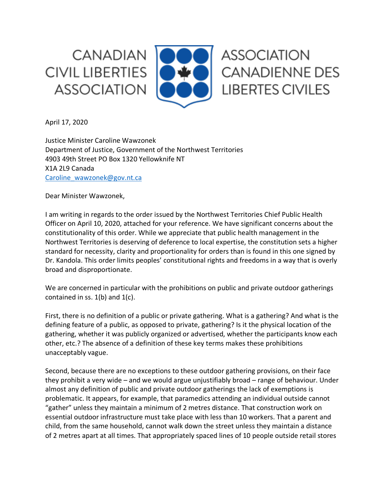**CANADIAN CIVIL LIBERTIES ASSOCIATION** 



April 17, 2020

Justice Minister Caroline Wawzonek Department of Justice, Government of the Northwest Territories 4903 49th Street PO Box 1320 Yellowknife NT X1A 2L9 Canada Caroline\_wawzonek@gov.nt.ca

Dear Minister Wawzonek,

I am writing in regards to the order issued by the Northwest Territories Chief Public Health Officer on April 10, 2020, attached for your reference. We have significant concerns about the constitutionality of this order. While we appreciate that public health management in the Northwest Territories is deserving of deference to local expertise, the constitution sets a higher standard for necessity, clarity and proportionality for orders than is found in this one signed by Dr. Kandola. This order limits peoples' constitutional rights and freedoms in a way that is overly broad and disproportionate.

We are concerned in particular with the prohibitions on public and private outdoor gatherings contained in ss.  $1(b)$  and  $1(c)$ .

First, there is no definition of a public or private gathering. What is a gathering? And what is the defining feature of a public, as opposed to private, gathering? Is it the physical location of the gathering, whether it was publicly organized or advertised, whether the participants know each other, etc.? The absence of a definition of these key terms makes these prohibitions unacceptably vague.

Second, because there are no exceptions to these outdoor gathering provisions, on their face they prohibit a very wide – and we would argue unjustifiably broad – range of behaviour. Under almost any definition of public and private outdoor gatherings the lack of exemptions is problematic. It appears, for example, that paramedics attending an individual outside cannot "gather" unless they maintain a minimum of 2 metres distance. That construction work on essential outdoor infrastructure must take place with less than 10 workers. That a parent and child, from the same household, cannot walk down the street unless they maintain a distance of 2 metres apart at all times. That appropriately spaced lines of 10 people outside retail stores